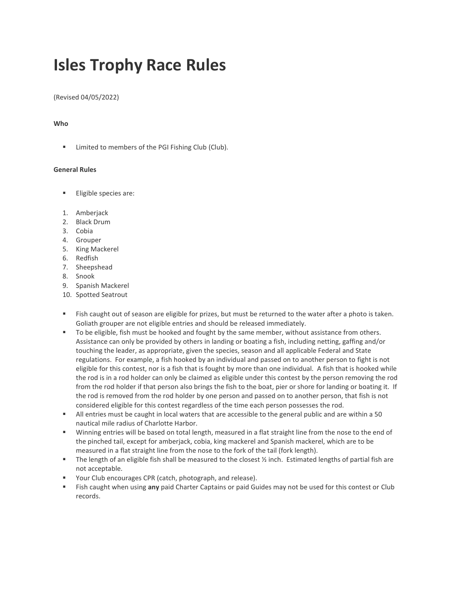# **Isles Trophy Race Rules**

(Revised 04/05/2022)

## **Who**

▪ Limited to members of the PGI Fishing Club (Club).

### **General Rules**

- Eligible species are:
- 1. Amberjack
- 2. Black Drum
- 3. Cobia
- 4. Grouper
- 5. King Mackerel
- 6. Redfish
- 7. Sheepshead
- 8. Snook
- 9. Spanish Mackerel
- 10. Spotted Seatrout
- Fish caught out of season are eligible for prizes, but must be returned to the water after a photo is taken. Goliath grouper are not eligible entries and should be released immediately.
- To be eligible, fish must be hooked and fought by the same member, without assistance from others. Assistance can only be provided by others in landing or boating a fish, including netting, gaffing and/or touching the leader, as appropriate, given the species, season and all applicable Federal and State regulations. For example, a fish hooked by an individual and passed on to another person to fight is not eligible for this contest, nor is a fish that is fought by more than one individual. A fish that is hooked while the rod is in a rod holder can only be claimed as eligible under this contest by the person removing the rod from the rod holder if that person also brings the fish to the boat, pier or shore for landing or boating it. If the rod is removed from the rod holder by one person and passed on to another person, that fish is not considered eligible for this contest regardless of the time each person possesses the rod.
- All entries must be caught in local waters that are accessible to the general public and are within a 50 nautical mile radius of Charlotte Harbor.
- Winning entries will be based on total length, measured in a flat straight line from the nose to the end of the pinched tail, except for amberjack, cobia, king mackerel and Spanish mackerel, which are to be measured in a flat straight line from the nose to the fork of the tail (fork length).
- **•** The length of an eligible fish shall be measured to the closest  $\frac{1}{2}$  inch. Estimated lengths of partial fish are not acceptable.
- Your Club encourages CPR (catch, photograph, and release).
- Fish caught when using any paid Charter Captains or paid Guides may not be used for this contest or Club records.